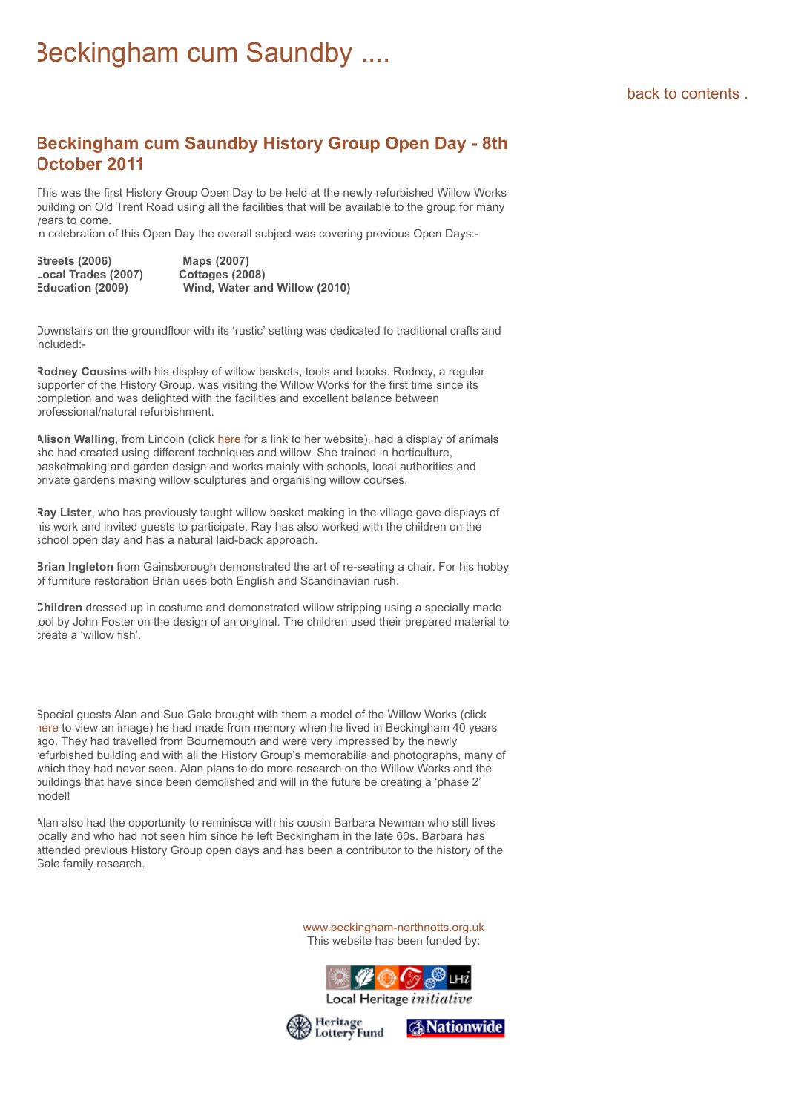## [back to contents .](https://www.beckingham-northnotts.org.uk/contents.htm)

## **Beckingham cum Saundby History Group Open Day - 8th October 2011**

This was the first History Group Open Day to be held at the newly refurbished Willow Works building on Old Trent Road using all the facilities that will be available to the group for many years to come.

n celebration of this Open Day the overall subject was covering previous Open Days:-

| <b>Streets (2006)</b> | Maps (2007)                   |
|-----------------------|-------------------------------|
| Local Trades (2007)   | Cottages (2008)               |
| Education (2009)      | Wind, Water and Willow (2010) |

Downstairs on the groundfloor with its 'rustic' setting was dedicated to traditional crafts and ncluded:-

**Rodney Cousins** with his display of willow baskets, tools and books. Rodney, a regular supporter of the History Group, was visiting the Willow Works for the first time since its completion and was delighted with the facilities and excellent balance between professional/natural refurbishment.

**Alison Walling**, from Lincoln (click [here f](http://www.lincolnwillow.co.uk/)or a link to her website), had a display of animals she had created using different techniques and willow. She trained in horticulture, basketmaking and garden design and works mainly with schools, local authorities and private gardens making willow sculptures and organising willow courses.

**Ray Lister**, who has previously taught willow basket making in the village gave displays of his work and invited guests to participate. Ray has also worked with the children on the school open day and has a natural laid-back approach.

**Brian Ingleton** from Gainsborough demonstrated the art of re-seating a chair. For his hobby of furniture restoration Brian uses both English and Scandinavian rush.

**Children** dressed up in costume and demonstrated willow stripping using a specially made ool by John Foster on the design of an original. The children used their prepared material to create a 'willow fish'.

Special guests Alan and Sue Gale brought with them a model of the Willow Works (click [here](https://www.beckingham-northnotts.org.uk/images/wworks/alangalemodel.jpg) to view an image) he had made from memory when he lived in Beckingham 40 years ago. They had travelled from Bournemouth and were very impressed by the newly refurbished building and with all the History Group's memorabilia and photographs, many of which they had never seen. Alan plans to do more research on the Willow Works and the buildings that have since been demolished and will in the future be creating a 'phase 2' model!

Alan also had the opportunity to reminisce with his cousin Barbara Newman who still lives ocally and who had not seen him since he left Beckingham in the late 60s. Barbara has attended previous History Group open days and has been a contributor to the history of the **Gale family research.** 

> [www.beckingham-northnotts.org.uk](https://www.beckingham-northnotts.org.uk/index.htm) This website has been funded by:



Local Heritage initiative

**A**Nationwide